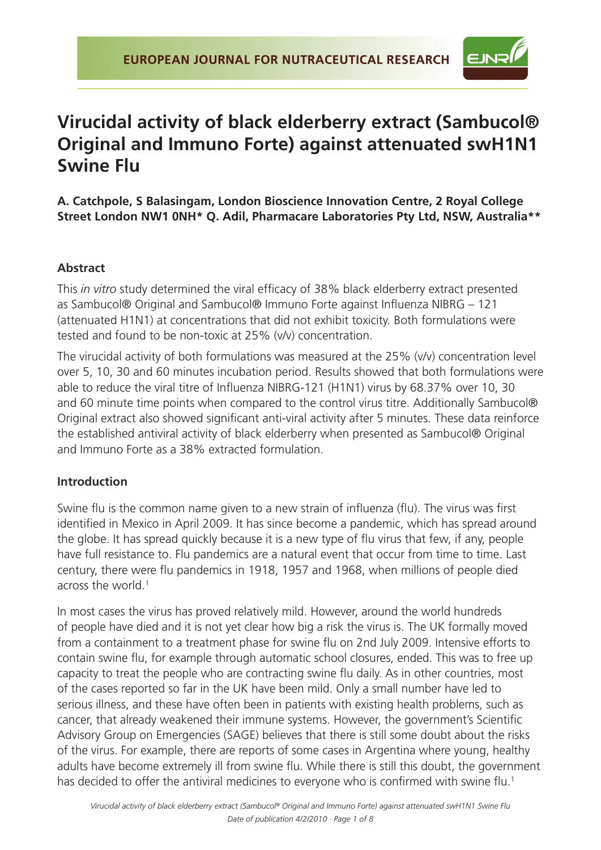

# **Virucidal activity of black elderberry extract (Sambucol® Original and Immuno Forte) against attenuated swH1N1 Swine Flu**

**A. Catchpole, S Balasingam, London Bioscience Innovation Centre, 2 Royal College Street London NW1 0NH\* Q. Adil, Pharmacare Laboratories Pty Ltd, NSW, Australia\*\***

# **Abstract**

This *in vitro* study determined the viral efficacy of 38% black elderberry extract presented as Sambucol® Original and Sambucol® Immuno Forte against Influenza NIBRG – 121 (attenuated H1N1) at concentrations that did not exhibit toxicity. Both formulations were tested and found to be non-toxic at 25% (v/v) concentration.

The virucidal activity of both formulations was measured at the 25% (v/v) concentration level over 5, 10, 30 and 60 minutes incubation period. Results showed that both formulations were able to reduce the viral titre of Influenza NIBRG-121 (H1N1) virus by 68.37% over 10, 30 and 60 minute time points when compared to the control virus titre. Additionally Sambucol® Original extract also showed significant anti-viral activity after 5 minutes. These data reinforce the established antiviral activity of black elderberry when presented as Sambucol® Original and Immuno Forte as a 38% extracted formulation.

## **Introduction**

Swine flu is the common name given to a new strain of influenza (flu). The virus was first identified in Mexico in April 2009. It has since become a pandemic, which has spread around the globe. It has spread quickly because it is a new type of flu virus that few, if any, people have full resistance to. Flu pandemics are a natural event that occur from time to time. Last century, there were flu pandemics in 1918, 1957 and 1968, when millions of people died across the world.<sup>1</sup>

In most cases the virus has proved relatively mild. However, around the world hundreds of people have died and it is not yet clear how big a risk the virus is. The UK formally moved from a containment to a treatment phase for swine flu on 2nd July 2009. Intensive efforts to contain swine flu, for example through automatic school closures, ended. This was to free up capacity to treat the people who are contracting swine flu daily. As in other countries, most of the cases reported so far in the UK have been mild. Only a small number have led to serious illness, and these have often been in patients with existing health problems, such as cancer, that already weakened their immune systems. However, the government's Scientific Advisory Group on Emergencies (SAGE) believes that there is still some doubt about the risks of the virus. For example, there are reports of some cases in Argentina where young, healthy adults have become extremely ill from swine flu. While there is still this doubt, the government has decided to offer the antiviral medicines to everyone who is confirmed with swine flu.<sup>1</sup>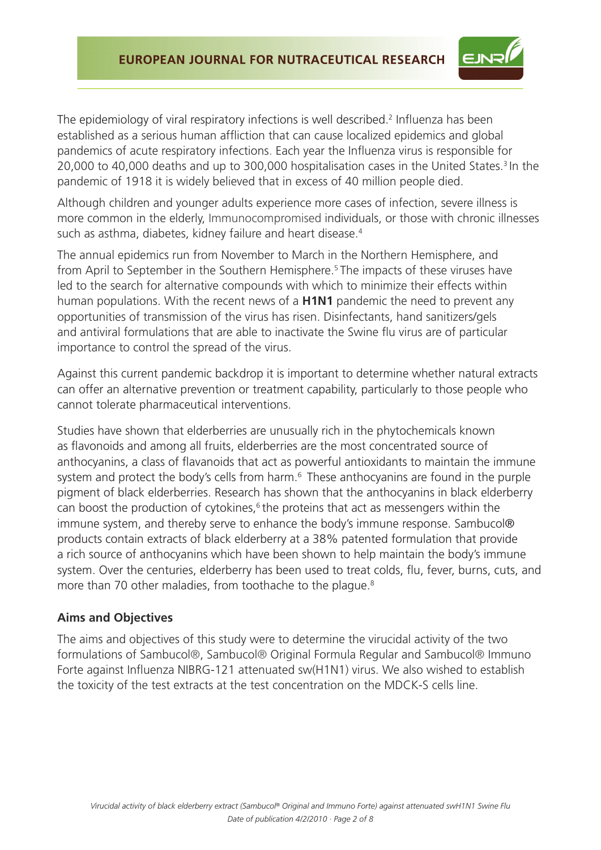

The epidemiology of viral respiratory infections is well described.<sup>2</sup> Influenza has been established as a serious human affliction that can cause localized epidemics and global pandemics of acute respiratory infections. Each year the Influenza virus is responsible for 20,000 to 40,000 deaths and up to 300,000 hospitalisation cases in the United States.<sup>3</sup> In the pandemic of 1918 it is widely believed that in excess of 40 million people died.

Although children and younger adults experience more cases of infection, severe illness is more common in the elderly, Immunocompromised individuals, or those with chronic illnesses such as asthma, diabetes, kidney failure and heart disease.<sup>4</sup>

The annual epidemics run from November to March in the Northern Hemisphere, and from April to September in the Southern Hemisphere.5 The impacts of these viruses have led to the search for alternative compounds with which to minimize their effects within human populations. With the recent news of a **H1N1** pandemic the need to prevent any opportunities of transmission of the virus has risen. Disinfectants, hand sanitizers/gels and antiviral formulations that are able to inactivate the Swine flu virus are of particular importance to control the spread of the virus.

Against this current pandemic backdrop it is important to determine whether natural extracts can offer an alternative prevention or treatment capability, particularly to those people who cannot tolerate pharmaceutical interventions.

Studies have shown that elderberries are unusually rich in the phytochemicals known as flavonoids and among all fruits, elderberries are the most concentrated source of anthocyanins, a class of flavanoids that act as powerful antioxidants to maintain the immune system and protect the body's cells from harm.<sup>6</sup> These anthocyanins are found in the purple pigment of black elderberries. Research has shown that the anthocyanins in black elderberry can boost the production of cytokines, $6$  the proteins that act as messengers within the immune system, and thereby serve to enhance the body's immune response. Sambucol® products contain extracts of black elderberry at a 38% patented formulation that provide a rich source of anthocyanins which have been shown to help maintain the body's immune system. Over the centuries, elderberry has been used to treat colds, flu, fever, burns, cuts, and more than 70 other maladies, from toothache to the plague.<sup>8</sup>

#### **Aims and Objectives**

The aims and objectives of this study were to determine the virucidal activity of the two formulations of Sambucol®, Sambucol® Original Formula Regular and Sambucol® Immuno Forte against Influenza NIBRG-121 attenuated sw(H1N1) virus. We also wished to establish the toxicity of the test extracts at the test concentration on the MDCK-S cells line.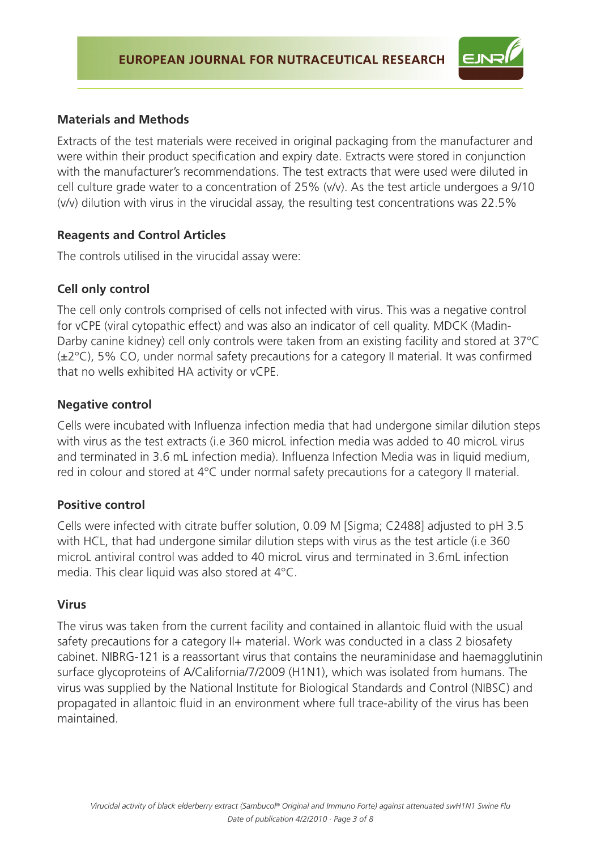

#### **Materials and Methods**

Extracts of the test materials were received in original packaging from the manufacturer and were within their product specification and expiry date. Extracts were stored in conjunction with the manufacturer's recommendations. The test extracts that were used were diluted in cell culture grade water to a concentration of 25% (v/v). As the test article undergoes a 9/10 (v/v) dilution with virus in the virucidal assay, the resulting test concentrations was 22.5%

#### **Reagents and Control Articles**

The controls utilised in the virucidal assay were:

## **Cell only control**

The cell only controls comprised of cells not infected with virus. This was a negative control for vCPE (viral cytopathic effect) and was also an indicator of cell quality. MDCK (Madin-Darby canine kidney) cell only controls were taken from an existing facility and stored at 37°C  $(\pm 2^{\circ}C)$ , 5% CO, under normal safety precautions for a category II material. It was confirmed that no wells exhibited HA activity or vCPE.

## **Negative control**

Cells were incubated with Influenza infection media that had undergone similar dilution steps with virus as the test extracts (i.e 360 microL infection media was added to 40 microL virus and terminated in 3.6 mL infection media). Influenza Infection Media was in liquid medium, red in colour and stored at 4°C under normal safety precautions for a category II material.

## **Positive control**

Cells were infected with citrate buffer solution, 0.09 M [Sigma; C2488] adjusted to pH 3.5 with HCL, that had undergone similar dilution steps with virus as the test article (i.e 360 microL antiviral control was added to 40 microL virus and terminated in 3.6mL infection media. This clear liquid was also stored at 4°C.

## **Virus**

The virus was taken from the current facility and contained in allantoic fluid with the usual safety precautions for a category II+ material. Work was conducted in a class 2 biosafety cabinet. NIBRG-121 is a reassortant virus that contains the neuraminidase and haemagglutinin surface glycoproteins of A/California/7/2009 (H1N1), which was isolated from humans. The virus was supplied by the National Institute for Biological Standards and Control (NIBSC) and propagated in allantoic fluid in an environment where full trace-ability of the virus has been maintained.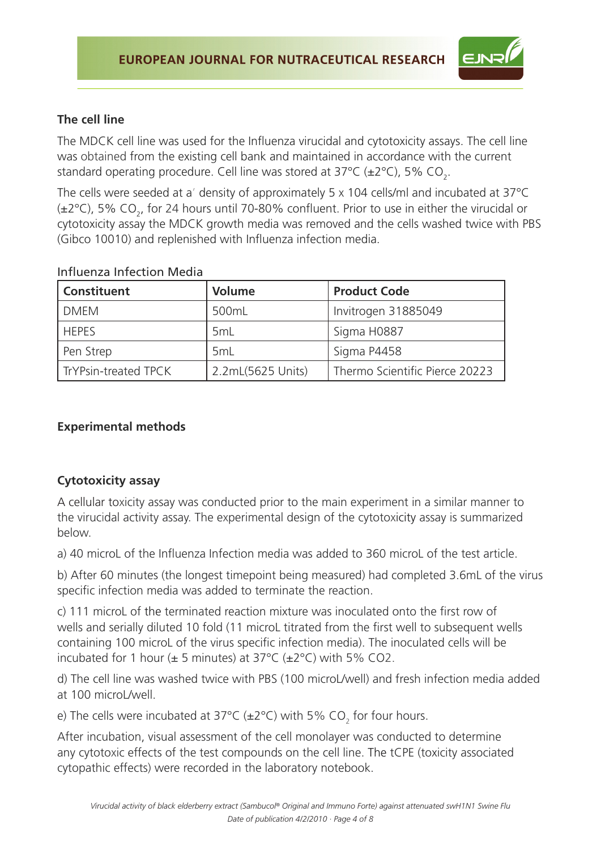

# **The cell line**

The MDCK cell line was used for the Influenza virucidal and cytotoxicity assays. The cell line was obtained from the existing cell bank and maintained in accordance with the current standard operating procedure. Cell line was stored at 37°C (±2°C), 5% CO<sub>2</sub>.

The cells were seeded at a' density of approximately 5 x 104 cells/ml and incubated at 37°C ( $\pm$ 2°C), 5% CO<sub>2</sub>, for 24 hours until 70-80% confluent. Prior to use in either the virucidal or cytotoxicity assay the MDCK growth media was removed and the cells washed twice with PBS (Gibco 10010) and replenished with Influenza infection media.

| <b>Constituent</b>   | <b>Volume</b>     | <b>Product Code</b>            |
|----------------------|-------------------|--------------------------------|
| <b>DMEM</b>          | 500mL             | Invitrogen 31885049            |
| <b>HEPES</b>         | 5 <sub>mL</sub>   | Sigma H0887                    |
| Pen Strep            | 5mL               | Sigma P4458                    |
| TrYPsin-treated TPCK | 2.2mL(5625 Units) | Thermo Scientific Pierce 20223 |

#### Influenza Infection Media

## **Experimental methods**

## **Cytotoxicity assay**

A cellular toxicity assay was conducted prior to the main experiment in a similar manner to the virucidal activity assay. The experimental design of the cytotoxicity assay is summarized below.

a) 40 microL of the Influenza Infection media was added to 360 microL of the test article.

b) After 60 minutes (the longest timepoint being measured) had completed 3.6mL of the virus specific infection media was added to terminate the reaction.

c) 111 microL of the terminated reaction mixture was inoculated onto the first row of wells and serially diluted 10 fold (11 microL titrated from the first well to subsequent wells containing 100 microL of the virus specific infection media). The inoculated cells will be incubated for 1 hour  $(\pm 5 \text{ minutes})$  at 37°C  $(\pm 2 \text{°C})$  with 5% CO2.

d) The cell line was washed twice with PBS (100 microL/well) and fresh infection media added at 100 microL/well.

e) The cells were incubated at 37°C ( $\pm$ 2°C) with 5% CO<sub>2</sub> for four hours.

After incubation, visual assessment of the cell monolayer was conducted to determine any cytotoxic effects of the test compounds on the cell line. The tCPE (toxicity associated cytopathic effects) were recorded in the laboratory notebook.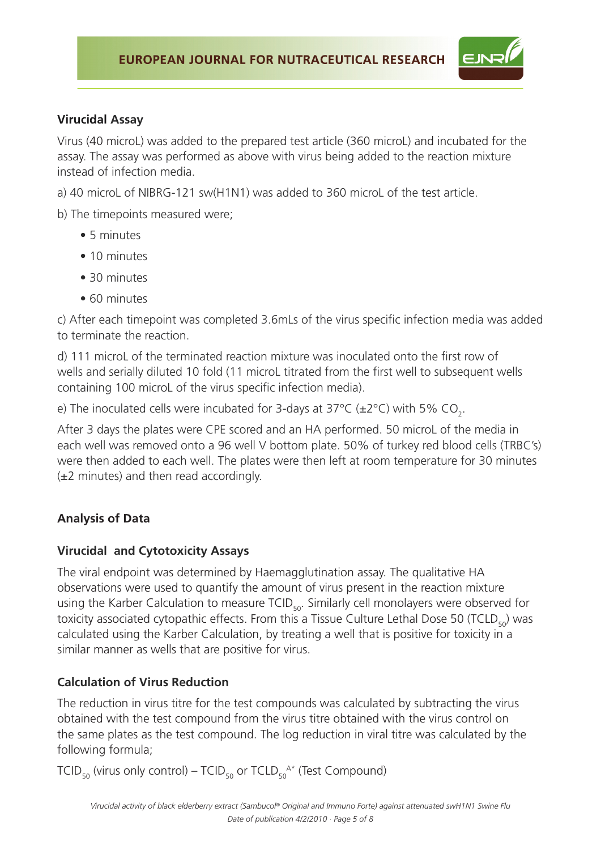

## **Virucidal Assay**

Virus (40 microL) was added to the prepared test article (360 microL) and incubated for the assay. The assay was performed as above with virus being added to the reaction mixture instead of infection media.

a) 40 microL of NIBRG-121 sw(H1N1) was added to 360 microL of the test article.

b) The timepoints measured were;

- 5 minutes
- 10 minutes
- 30 minutes
- 60 minutes

c) After each timepoint was completed 3.6mLs of the virus specific infection media was added to terminate the reaction.

d) 111 microL of the terminated reaction mixture was inoculated onto the first row of wells and serially diluted 10 fold (11 microL titrated from the first well to subsequent wells containing 100 microL of the virus specific infection media).

e) The inoculated cells were incubated for 3-days at 37°C (±2°C) with 5% CO<sub>2</sub>.

After 3 days the plates were CPE scored and an HA performed. 50 microL of the media in each well was removed onto a 96 well V bottom plate. 50% of turkey red blood cells (TRBC's) were then added to each well. The plates were then left at room temperature for 30 minutes  $(\pm 2 \text{ minutes})$  and then read accordingly.

# **Analysis of Data**

## **Virucidal and Cytotoxicity Assays**

The viral endpoint was determined by Haemagglutination assay. The qualitative HA observations were used to quantify the amount of virus present in the reaction mixture using the Karber Calculation to measure TCID<sub>50</sub>. Similarly cell monolayers were observed for toxicity associated cytopathic effects. From this a Tissue Culture Lethal Dose 50 (TCLD $_{50}$ ) was calculated using the Karber Calculation, by treating a well that is positive for toxicity in a similar manner as wells that are positive for virus.

# **Calculation of Virus Reduction**

The reduction in virus titre for the test compounds was calculated by subtracting the virus obtained with the test compound from the virus titre obtained with the virus control on the same plates as the test compound. The log reduction in viral titre was calculated by the following formula;

TCID<sub>50</sub> (virus only control) — TCID<sub>50</sub> or TCLD<sub>50</sub>^\* (Test Compound)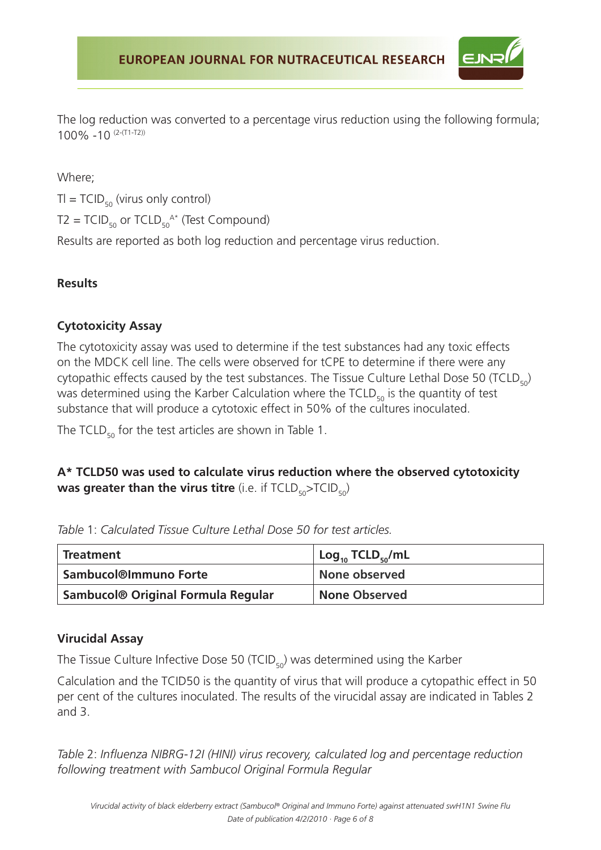The log reduction was converted to a percentage virus reduction using the following formula; 100% -10 (2-(T1-T2))

Where;

 $TI = TCID_{50}$  (virus only control)

 $T2 = TCID_{50}$  or  $TCLD_{50}^{A*}$  (Test Compound)

Results are reported as both log reduction and percentage virus reduction.

## **Results**

## **Cytotoxicity Assay**

The cytotoxicity assay was used to determine if the test substances had any toxic effects on the MDCK cell line. The cells were observed for tCPE to determine if there were any cytopathic effects caused by the test substances. The Tissue Culture Lethal Dose 50 (TCLD $_{50}$ ) was determined using the Karber Calculation where the  $\text{TCLD}_{50}$  is the quantity of test substance that will produce a cytotoxic effect in 50% of the cultures inoculated.

The TCLD<sub>50</sub> for the test articles are shown in Table 1.

# **A\* TCLD50 was used to calculate virus reduction where the observed cytotoxicity was greater than the virus titre** (i.e. if TCLD<sub>50</sub>>TCID<sub>50</sub>)

|  | Table 1: Calculated Tissue Culture Lethal Dose 50 for test articles. |  |  |  |  |
|--|----------------------------------------------------------------------|--|--|--|--|
|  |                                                                      |  |  |  |  |

| <b>Treatment</b>                               | $Log_{10}$ TCLD <sub><math>50</math></sub> /mL |
|------------------------------------------------|------------------------------------------------|
| <b>Sambucol®Immuno Forte</b>                   | None observed                                  |
| Sambucol <sup>®</sup> Original Formula Regular | <b>None Observed</b>                           |

## **Virucidal Assay**

The Tissue Culture Infective Dose 50 (TCID $_{50}$ ) was determined using the Karber

Calculation and the TCID50 is the quantity of virus that will produce a cytopathic effect in 50 per cent of the cultures inoculated. The results of the virucidal assay are indicated in Tables 2 and 3.

*Table* 2: *Influenza NIBRG-12I (HINI) virus recovery, calculated log and percentage reduction following treatment with Sambucol Original Formula Regular*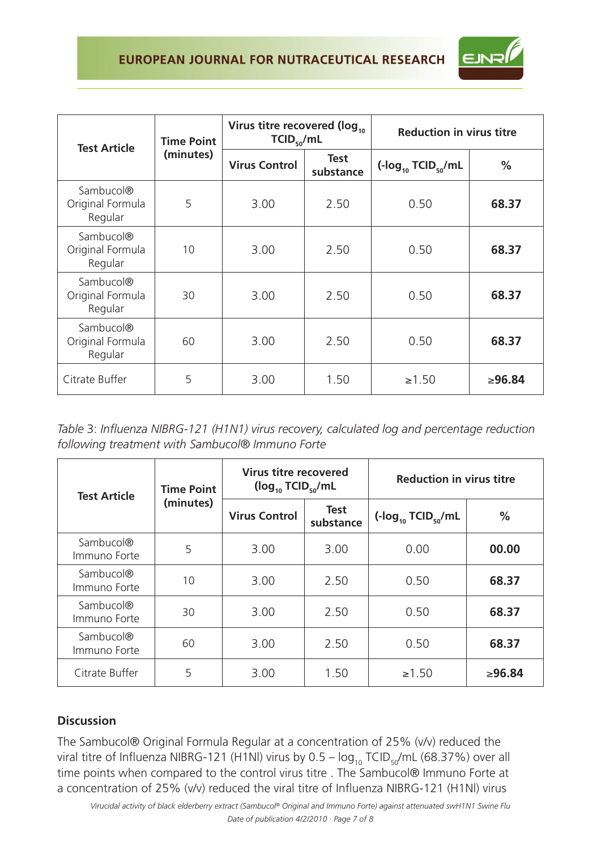# EUROPEAN JOURNAL FOR NUTRACEUTICAL RESEARCH



| <b>Test Article</b>                                  | <b>Time Point</b> | Virus titre recovered (log <sub>10</sub><br>$TCID_{50}/mL$ |                   | <b>Reduction in virus titre</b> |               |  |
|------------------------------------------------------|-------------------|------------------------------------------------------------|-------------------|---------------------------------|---------------|--|
|                                                      | (minutes)         | <b>Virus Control</b>                                       | Test<br>substance | $(-\log_{10} TCID_{50}/mL)$     | $\frac{0}{0}$ |  |
| Sambucol®<br>Original Formula<br>Regular             | 5                 | 3.00                                                       | 2.50              | 0.50                            | 68.37         |  |
| Sambucol <sup>®</sup><br>Original Formula<br>Regular | 10                | 3.00                                                       | 2.50              | 0.50                            | 68.37         |  |
| Sambucol <sup>®</sup><br>Original Formula<br>Regular | 30                | 3.00                                                       | 2.50              | 0.50                            | 68.37         |  |
| Sambucol <sup>®</sup><br>Original Formula<br>Regular | 60                | 3.00                                                       | 2.50              | 0.50                            | 68.37         |  |
| Citrate Buffer                                       | 5                 | 3.00                                                       | 1.50              | $\ge 1.50$                      | ≥96.84        |  |

*Table* 3: *Influenza NIBRG-121 (H1N1) virus recovery, calculated log and percentage reduction following treatment with Sambucol® Immuno Forte*

| <b>Test Article</b>                   | <b>Time Point</b> | Virus titre recovered<br>$(log_{10}$ TCID <sub>50</sub> /mL |                          | <b>Reduction in virus titre</b>                              |               |  |
|---------------------------------------|-------------------|-------------------------------------------------------------|--------------------------|--------------------------------------------------------------|---------------|--|
|                                       | (minutes)         | <b>Virus Control</b>                                        | <b>Test</b><br>substance | $\left(\text{-log}_{10} \text{TCID}_{50} / \text{mL}\right)$ | $\frac{0}{0}$ |  |
| Sambucol <sup>®</sup><br>Immuno Forte | 5                 | 3.00                                                        | 3.00                     | 0.00                                                         | 00.00         |  |
| Sambucol <sup>®</sup><br>Immuno Forte | 10                | 3.00                                                        | 2.50                     | 0.50                                                         | 68.37         |  |
| Sambucol <sup>®</sup><br>Immuno Forte | 30                | 3.00                                                        | 2.50                     | 0.50                                                         | 68.37         |  |
| Sambucol <sup>®</sup><br>Immuno Forte | 60                | 3.00                                                        | 2.50                     | 0.50                                                         | 68.37         |  |
| Citrate Buffer                        | 5                 | 3.00                                                        | 1.50                     | $\ge 1.50$                                                   | ≥96.84        |  |

## **Discussion**

The Sambucol® Original Formula Regular at a concentration of 25% (v/v) reduced the viral titre of Influenza NIBRG-121 (H1NI) virus by  $0.5 - \log_{10} TCD_{50}/mL$  (68.37%) over all time points when compared to the control virus titre . The Sambucol® Immuno Forte at a concentration of 25% (v/v) reduced the viral titre of Influenza NIBRG-121 (H1Nl) virus